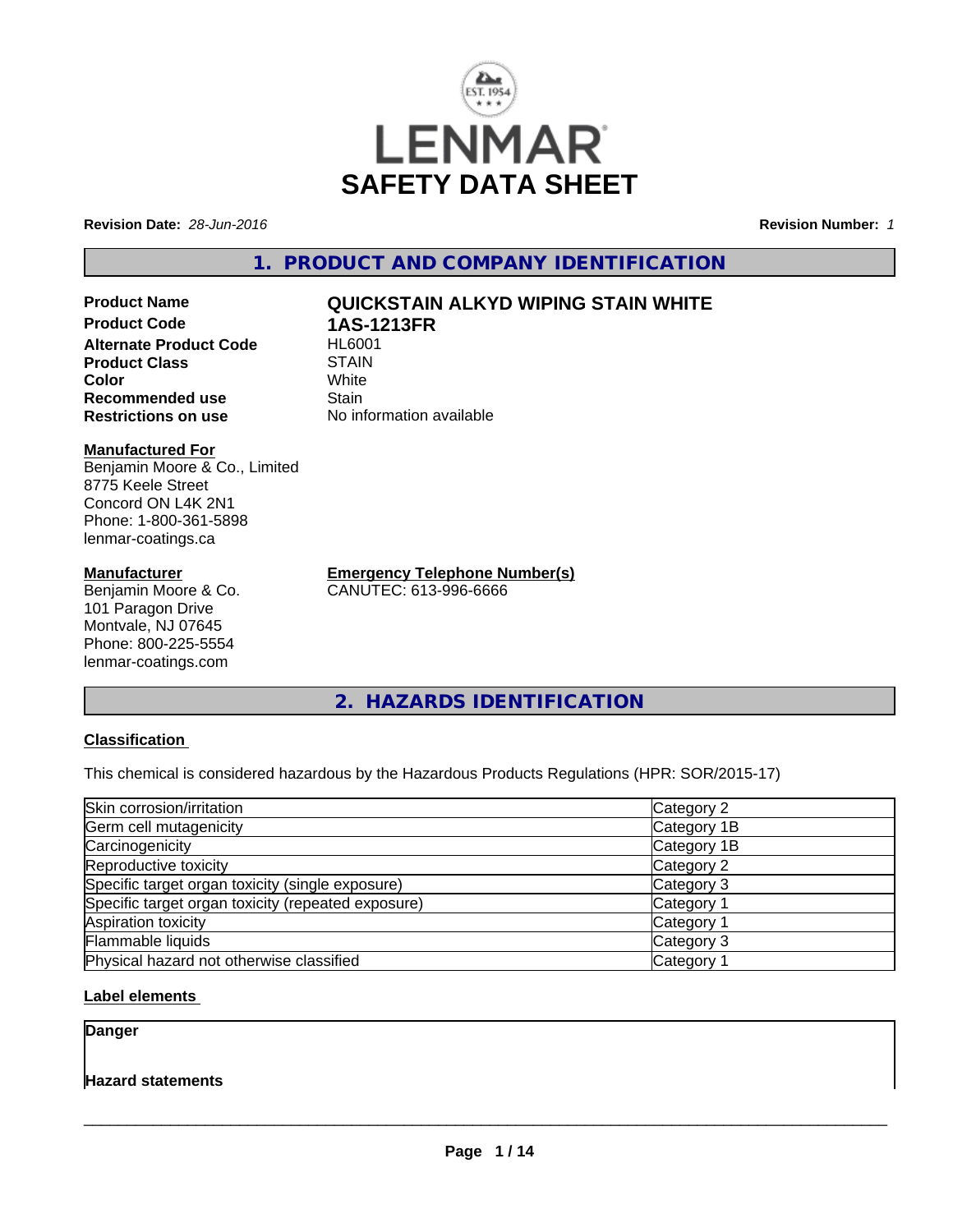

**Revision Date:** *28-Jun-2016* **Revision Number:** *1*

# **1. PRODUCT AND COMPANY IDENTIFICATION**

**Product Name QUICKSTAIN ALKYD WIPING STAIN WHITE Product Code 1AS-1213FR Alternate Product Code Product Class STAIN STAIN**<br> **Color** White **Color** White **Recommended use Stain Restrictions on use** No information available

# **Manufactured For**

Benjamin Moore & Co., Limited 8775 Keele Street Concord ON L4K 2N1 Phone: 1-800-361-5898 lenmar-coatings.ca

# **Manufacturer**

Benjamin Moore & Co. 101 Paragon Drive Montvale, NJ 07645 Phone: 800-225-5554 lenmar-coatings.com

**Emergency Telephone Number(s)** CANUTEC: 613-996-6666

**2. HAZARDS IDENTIFICATION**

# **Classification**

This chemical is considered hazardous by the Hazardous Products Regulations (HPR: SOR/2015-17)

| Skin corrosion/irritation                          | Category 2  |
|----------------------------------------------------|-------------|
| Germ cell mutagenicity                             | Category 1B |
| Carcinogenicity                                    | Category 1B |
| Reproductive toxicity                              | Category 2  |
| Specific target organ toxicity (single exposure)   | Category 3  |
| Specific target organ toxicity (repeated exposure) | Category 1  |
| Aspiration toxicity                                | Category 1  |
| Flammable liquids                                  | Category 3  |
| Physical hazard not otherwise classified           | Category 1  |

# **Label elements**

**Danger**

# **Hazard statements**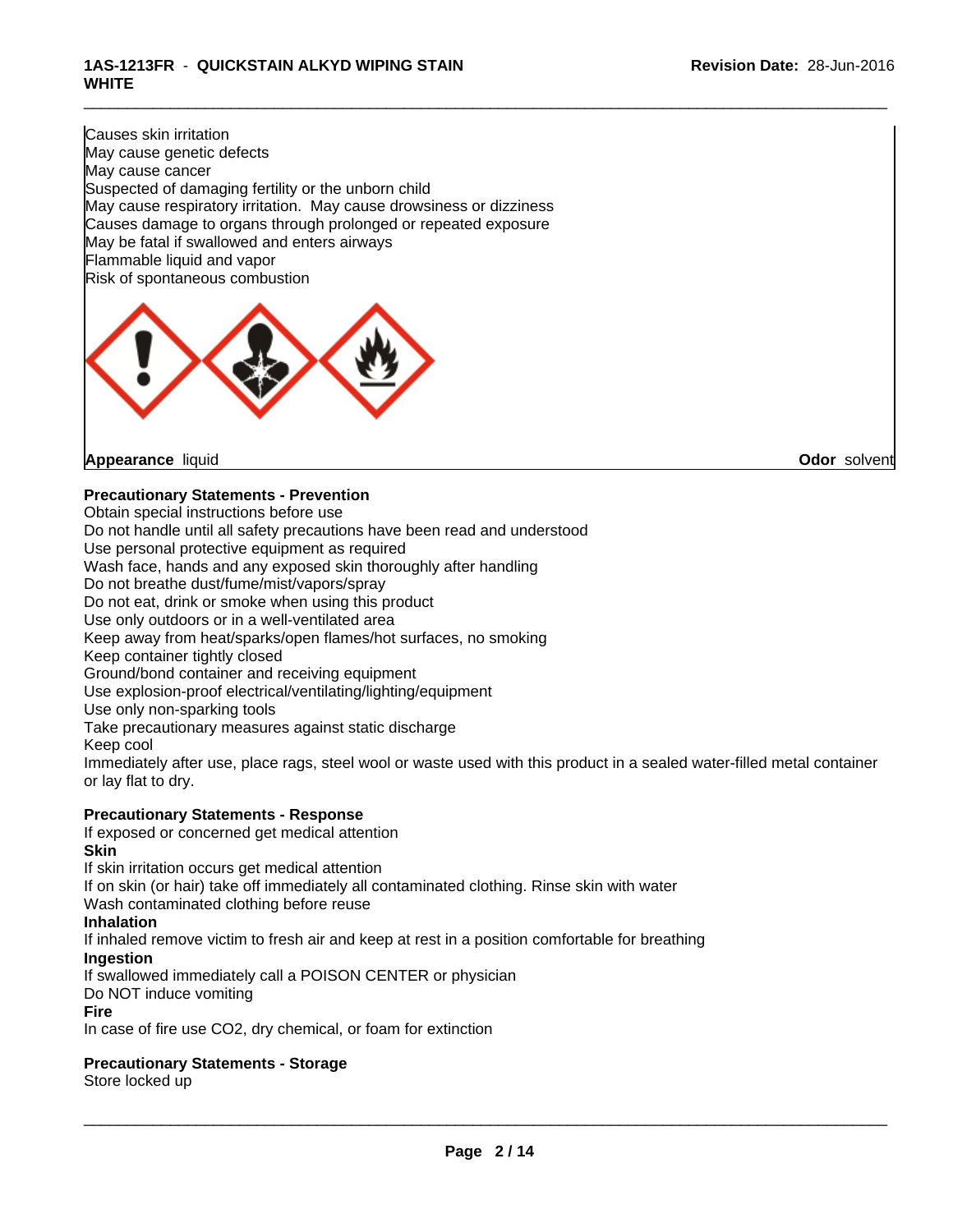# **1AS-1213FR** - **QUICKSTAIN ALKYD WIPING STAIN WHITE**

Causes skin irritation May cause genetic defects May cause cancer Suspected of damaging fertility or the unborn child May cause respiratory irritation. May cause drowsiness or dizziness Causes damage to organs through prolonged or repeated exposure May be fatal if swallowed and enters airways Flammable liquid and vapor Risk of spontaneous combustion



**Appearance** liquid **Odor** solvent

# **Precautionary Statements - Prevention**

Obtain special instructions before use

Do not handle until all safety precautions have been read and understood

Use personal protective equipment as required

Wash face, hands and any exposed skin thoroughly after handling

Do not breathe dust/fume/mist/vapors/spray

Do not eat, drink or smoke when using this product

Use only outdoors or in a well-ventilated area

Keep away from heat/sparks/open flames/hot surfaces, no smoking

Keep container tightly closed

Ground/bond container and receiving equipment

Use explosion-proof electrical/ventilating/lighting/equipment

Use only non-sparking tools

Take precautionary measures against static discharge

Keep cool

Immediately after use, place rags, steel wool or waste used with this product in a sealed water-filled metal container or lay flat to dry.

\_\_\_\_\_\_\_\_\_\_\_\_\_\_\_\_\_\_\_\_\_\_\_\_\_\_\_\_\_\_\_\_\_\_\_\_\_\_\_\_\_\_\_\_\_\_\_\_\_\_\_\_\_\_\_\_\_\_\_\_\_\_\_\_\_\_\_\_\_\_\_\_\_\_\_\_\_\_\_\_\_\_\_\_\_\_\_\_\_\_\_\_\_

# **Precautionary Statements - Response**

If exposed or concerned get medical attention

# **Skin**

If skin irritation occurs get medical attention

If on skin (or hair) take off immediately all contaminated clothing. Rinse skin with water

Wash contaminated clothing before reuse

# **Inhalation**

If inhaled remove victim to fresh air and keep at rest in a position comfortable for breathing

# **Ingestion**

If swallowed immediately call a POISON CENTER or physician Do NOT induce vomiting

# **Fire**

In case of fire use CO2, dry chemical, or foam for extinction

# **Precautionary Statements - Storage**

Store locked up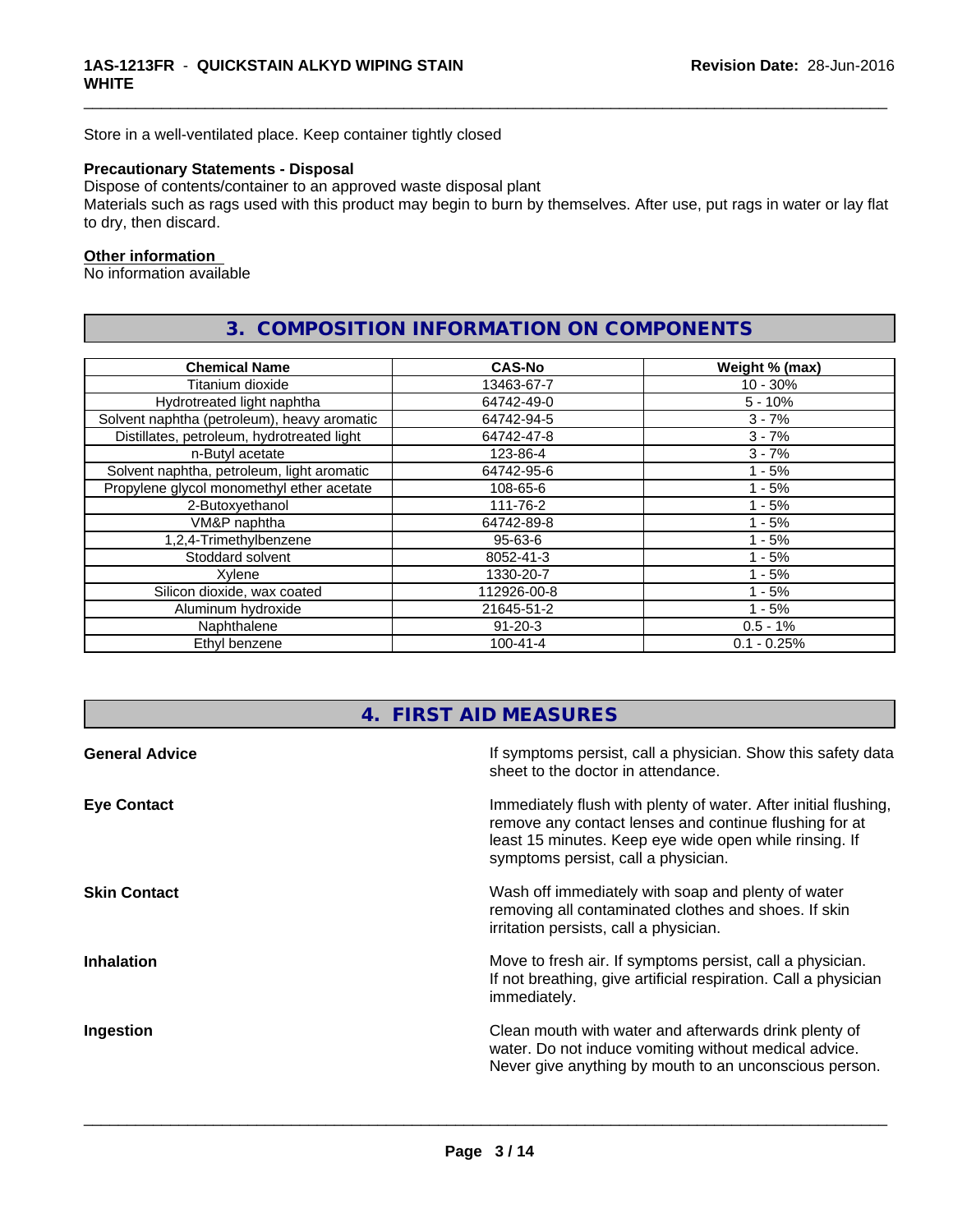Store in a well-ventilated place. Keep container tightly closed

# **Precautionary Statements - Disposal**

Dispose of contents/container to an approved waste disposal plant Materials such as rags used with this product may begin to burn by themselves. After use, put rags in water or lay flat to dry, then discard.

\_\_\_\_\_\_\_\_\_\_\_\_\_\_\_\_\_\_\_\_\_\_\_\_\_\_\_\_\_\_\_\_\_\_\_\_\_\_\_\_\_\_\_\_\_\_\_\_\_\_\_\_\_\_\_\_\_\_\_\_\_\_\_\_\_\_\_\_\_\_\_\_\_\_\_\_\_\_\_\_\_\_\_\_\_\_\_\_\_\_\_\_\_

# **Other information**

No information available

# **3. COMPOSITION INFORMATION ON COMPONENTS**

| <b>Chemical Name</b>                        | <b>CAS-No</b>  | Weight % (max) |
|---------------------------------------------|----------------|----------------|
| Titanium dioxide                            | 13463-67-7     | $10 - 30%$     |
| Hydrotreated light naphtha                  | 64742-49-0     | $5 - 10%$      |
| Solvent naphtha (petroleum), heavy aromatic | 64742-94-5     | $3 - 7%$       |
| Distillates, petroleum, hydrotreated light  | 64742-47-8     | $3 - 7%$       |
| n-Butyl acetate                             | 123-86-4       | $3 - 7%$       |
| Solvent naphtha, petroleum, light aromatic  | 64742-95-6     | $1 - 5%$       |
| Propylene glycol monomethyl ether acetate   | 108-65-6       | $1 - 5%$       |
| 2-Butoxyethanol                             | 111-76-2       | $1 - 5%$       |
| VM&P naphtha                                | 64742-89-8     | $1 - 5%$       |
| 1,2,4-Trimethylbenzene                      | $95 - 63 - 6$  | $1 - 5%$       |
| Stoddard solvent                            | 8052-41-3      | $1 - 5%$       |
| Xvlene                                      | 1330-20-7      | $1 - 5%$       |
| Silicon dioxide, wax coated                 | 112926-00-8    | $1 - 5%$       |
| Aluminum hydroxide                          | 21645-51-2     | $1 - 5%$       |
| Naphthalene                                 | $91 - 20 - 3$  | $0.5 - 1%$     |
| Ethyl benzene                               | $100 - 41 - 4$ | $0.1 - 0.25%$  |

# **4. FIRST AID MEASURES**

| <b>General Advice</b> | If symptoms persist, call a physician. Show this safety data<br>sheet to the doctor in attendance.                                                                                                                         |
|-----------------------|----------------------------------------------------------------------------------------------------------------------------------------------------------------------------------------------------------------------------|
| <b>Eye Contact</b>    | Immediately flush with plenty of water. After initial flushing,<br>remove any contact lenses and continue flushing for at<br>least 15 minutes. Keep eye wide open while rinsing. If<br>symptoms persist, call a physician. |
| <b>Skin Contact</b>   | Wash off immediately with soap and plenty of water<br>removing all contaminated clothes and shoes. If skin<br>irritation persists, call a physician.                                                                       |
| <b>Inhalation</b>     | Move to fresh air. If symptoms persist, call a physician.<br>If not breathing, give artificial respiration. Call a physician<br>immediately.                                                                               |
| Ingestion             | Clean mouth with water and afterwards drink plenty of<br>water. Do not induce vomiting without medical advice.<br>Never give anything by mouth to an unconscious person.                                                   |
|                       |                                                                                                                                                                                                                            |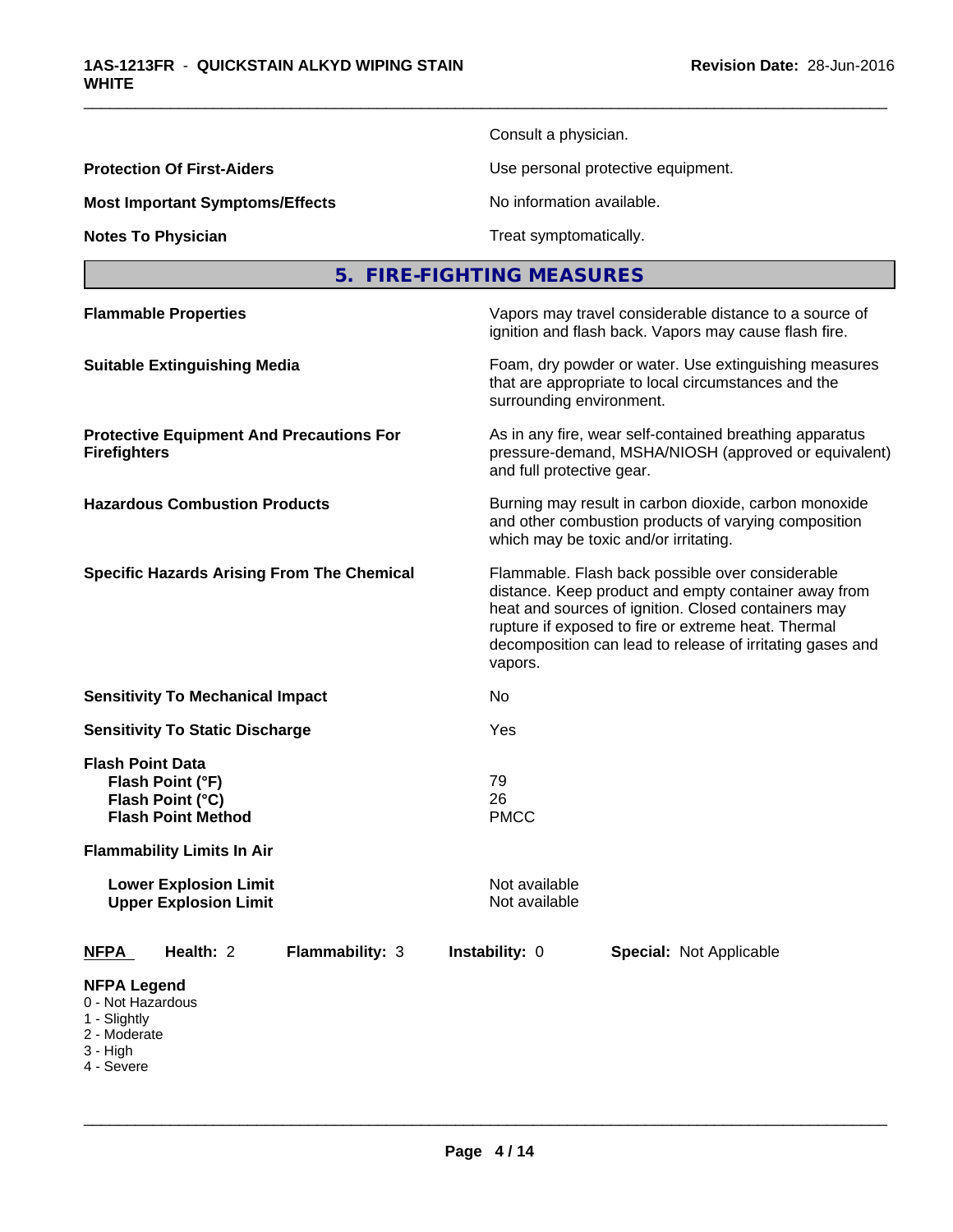**Most Important Symptoms/Effects** No information available.

Consult a physician.

\_\_\_\_\_\_\_\_\_\_\_\_\_\_\_\_\_\_\_\_\_\_\_\_\_\_\_\_\_\_\_\_\_\_\_\_\_\_\_\_\_\_\_\_\_\_\_\_\_\_\_\_\_\_\_\_\_\_\_\_\_\_\_\_\_\_\_\_\_\_\_\_\_\_\_\_\_\_\_\_\_\_\_\_\_\_\_\_\_\_\_\_\_

**Protection Of First-Aiders Victor Constrainers** Use personal protective equipment.

**Notes To Physician Treat symptomatically.** Treat symptomatically.

# **5. FIRE-FIGHTING MEASURES**

|                                                                                                   | <b>Flammable Properties</b>                                       |                                                   |                                                                                                                                              | Vapors may travel considerable distance to a source of<br>ignition and flash back. Vapors may cause flash fire.                                                                                                                                                                     |  |  |
|---------------------------------------------------------------------------------------------------|-------------------------------------------------------------------|---------------------------------------------------|----------------------------------------------------------------------------------------------------------------------------------------------|-------------------------------------------------------------------------------------------------------------------------------------------------------------------------------------------------------------------------------------------------------------------------------------|--|--|
| <b>Suitable Extinguishing Media</b>                                                               |                                                                   |                                                   | Foam, dry powder or water. Use extinguishing measures<br>that are appropriate to local circumstances and the<br>surrounding environment.     |                                                                                                                                                                                                                                                                                     |  |  |
| <b>Protective Equipment And Precautions For</b><br><b>Firefighters</b>                            |                                                                   |                                                   | As in any fire, wear self-contained breathing apparatus<br>pressure-demand, MSHA/NIOSH (approved or equivalent)<br>and full protective gear. |                                                                                                                                                                                                                                                                                     |  |  |
|                                                                                                   | <b>Hazardous Combustion Products</b>                              |                                                   |                                                                                                                                              | Burning may result in carbon dioxide, carbon monoxide<br>and other combustion products of varying composition<br>which may be toxic and/or irritating.                                                                                                                              |  |  |
|                                                                                                   |                                                                   | <b>Specific Hazards Arising From The Chemical</b> | vapors.                                                                                                                                      | Flammable. Flash back possible over considerable<br>distance. Keep product and empty container away from<br>heat and sources of ignition. Closed containers may<br>rupture if exposed to fire or extreme heat. Thermal<br>decomposition can lead to release of irritating gases and |  |  |
|                                                                                                   | <b>Sensitivity To Mechanical Impact</b>                           |                                                   | No.                                                                                                                                          |                                                                                                                                                                                                                                                                                     |  |  |
|                                                                                                   | <b>Sensitivity To Static Discharge</b>                            |                                                   | Yes                                                                                                                                          |                                                                                                                                                                                                                                                                                     |  |  |
| <b>Flash Point Data</b>                                                                           | Flash Point (°F)<br>Flash Point (°C)<br><b>Flash Point Method</b> |                                                   | 79<br>26<br><b>PMCC</b>                                                                                                                      |                                                                                                                                                                                                                                                                                     |  |  |
|                                                                                                   | <b>Flammability Limits In Air</b>                                 |                                                   |                                                                                                                                              |                                                                                                                                                                                                                                                                                     |  |  |
|                                                                                                   | <b>Lower Explosion Limit</b><br><b>Upper Explosion Limit</b>      |                                                   | Not available<br>Not available                                                                                                               |                                                                                                                                                                                                                                                                                     |  |  |
| <b>NFPA</b>                                                                                       | Health: 2                                                         | Flammability: 3                                   | Instability: 0                                                                                                                               | Special: Not Applicable                                                                                                                                                                                                                                                             |  |  |
| <b>NFPA Legend</b><br>0 - Not Hazardous<br>1 - Slightly<br>2 - Moderate<br>3 - High<br>4 - Severe |                                                                   |                                                   |                                                                                                                                              |                                                                                                                                                                                                                                                                                     |  |  |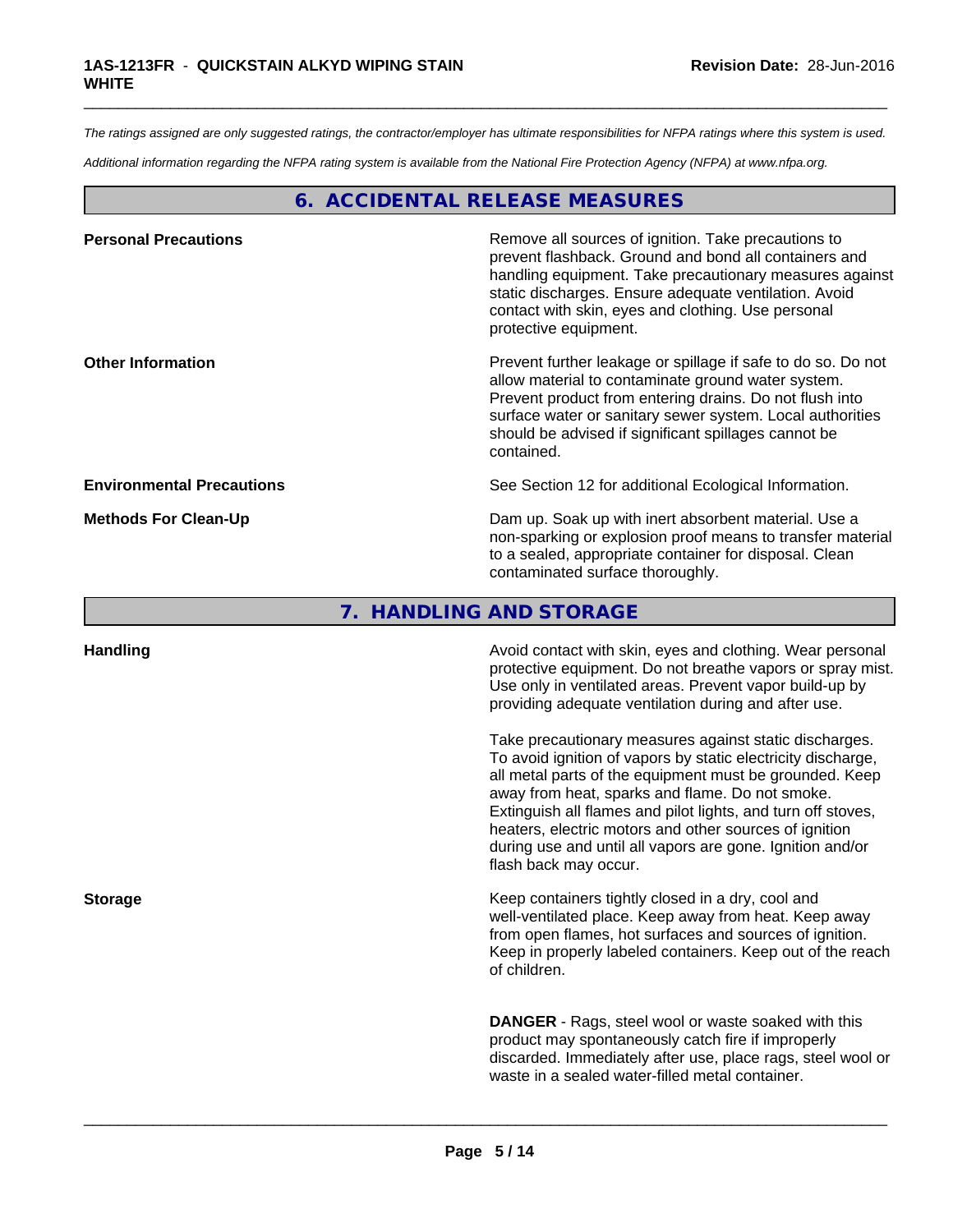*The ratings assigned are only suggested ratings, the contractor/employer has ultimate responsibilities for NFPA ratings where this system is used.*

\_\_\_\_\_\_\_\_\_\_\_\_\_\_\_\_\_\_\_\_\_\_\_\_\_\_\_\_\_\_\_\_\_\_\_\_\_\_\_\_\_\_\_\_\_\_\_\_\_\_\_\_\_\_\_\_\_\_\_\_\_\_\_\_\_\_\_\_\_\_\_\_\_\_\_\_\_\_\_\_\_\_\_\_\_\_\_\_\_\_\_\_\_

*Additional information regarding the NFPA rating system is available from the National Fire Protection Agency (NFPA) at www.nfpa.org.*

# **6. ACCIDENTAL RELEASE MEASURES**

| <b>Personal Precautions</b>      | Remove all sources of ignition. Take precautions to<br>prevent flashback. Ground and bond all containers and<br>handling equipment. Take precautionary measures against<br>static discharges. Ensure adequate ventilation. Avoid<br>contact with skin, eyes and clothing. Use personal<br>protective equipment.  |
|----------------------------------|------------------------------------------------------------------------------------------------------------------------------------------------------------------------------------------------------------------------------------------------------------------------------------------------------------------|
| <b>Other Information</b>         | Prevent further leakage or spillage if safe to do so. Do not<br>allow material to contaminate ground water system.<br>Prevent product from entering drains. Do not flush into<br>surface water or sanitary sewer system. Local authorities<br>should be advised if significant spillages cannot be<br>contained. |
| <b>Environmental Precautions</b> | See Section 12 for additional Ecological Information.                                                                                                                                                                                                                                                            |
| <b>Methods For Clean-Up</b>      | Dam up. Soak up with inert absorbent material. Use a<br>non-sparking or explosion proof means to transfer material<br>to a sealed, appropriate container for disposal. Clean<br>contaminated surface thoroughly.                                                                                                 |

**7. HANDLING AND STORAGE**

|                | protective equipment. Do not breathe vapors or<br>Use only in ventilated areas. Prevent vapor build<br>providing adequate ventilation during and after u                                                                                                                                                                                                                                                  |
|----------------|-----------------------------------------------------------------------------------------------------------------------------------------------------------------------------------------------------------------------------------------------------------------------------------------------------------------------------------------------------------------------------------------------------------|
|                | Take precautionary measures against static disc<br>To avoid ignition of vapors by static electricity dis<br>all metal parts of the equipment must be ground<br>away from heat, sparks and flame. Do not smoke<br>Extinguish all flames and pilot lights, and turn off<br>heaters, electric motors and other sources of ign<br>during use and until all vapors are gone. Ignition<br>flash back may occur. |
| <b>Storage</b> | Keep containers tightly closed in a dry, cool and<br>well-ventilated place. Keep away from heat. Kee<br>from open flames, hot surfaces and sources of ig<br>Keep in properly labeled containers. Keep out of                                                                                                                                                                                              |

**Handling Handling Avoid contact with skin, eyes and clothing. Wear personal <b>Handling** protective equipment. Do not breathe vapors or spray mist. Use only in ventilated areas. Prevent vapor build-up by providing adequate ventilation during and after use.

> Take precautionary measures against static discharges. To avoid ignition of vapors by static electricity discharge, all metal parts of the equipment must be grounded. Keep away from heat, sparks and flame. Do not smoke. Extinguish all flames and pilot lights, and turn off stoves, heaters, electric motors and other sources of ignition during use and until all vapors are gone. Ignition and/or flash back may occur.

well-ventilated place. Keep away from heat. Keep away from open flames, hot surfaces and sources of ignition. Keep in properly labeled containers. Keep out of the reach of children.

**DANGER** - Rags, steel wool or waste soaked with this product may spontaneously catch fire if improperly discarded. Immediately after use, place rags, steel wool or waste in a sealed water-filled metal container.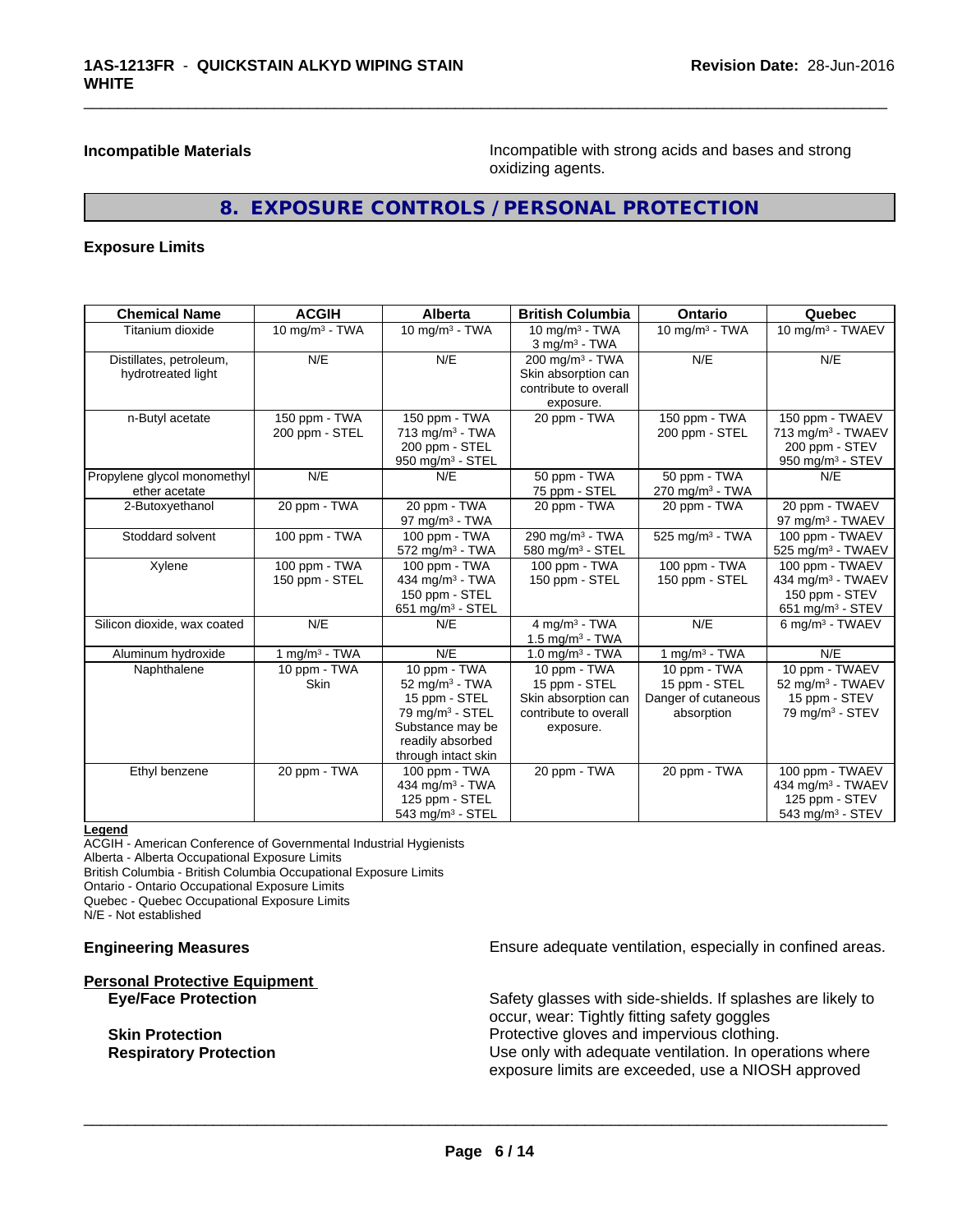**Incompatible Materials Incompatible with strong acids and bases and strong** oxidizing agents.

# **8. EXPOSURE CONTROLS / PERSONAL PROTECTION**

\_\_\_\_\_\_\_\_\_\_\_\_\_\_\_\_\_\_\_\_\_\_\_\_\_\_\_\_\_\_\_\_\_\_\_\_\_\_\_\_\_\_\_\_\_\_\_\_\_\_\_\_\_\_\_\_\_\_\_\_\_\_\_\_\_\_\_\_\_\_\_\_\_\_\_\_\_\_\_\_\_\_\_\_\_\_\_\_\_\_\_\_\_

# **Exposure Limits**

| <b>Chemical Name</b>        | <b>ACGIH</b>     | <b>Alberta</b>                 | <b>British Columbia</b>       | <b>Ontario</b>                | Quebec                        |
|-----------------------------|------------------|--------------------------------|-------------------------------|-------------------------------|-------------------------------|
| Titanium dioxide            | 10 $mg/m3$ - TWA | 10 $mq/m3$ - TWA               | 10 $mg/m3$ - TWA              | 10 $mq/m3$ - TWA              | 10 mg/m <sup>3</sup> - TWAEV  |
|                             |                  |                                | $3$ mg/m <sup>3</sup> - TWA   |                               |                               |
| Distillates, petroleum,     | N/E              | N/E                            | 200 mg/m <sup>3</sup> - TWA   | N/E                           | N/E                           |
| hydrotreated light          |                  |                                | Skin absorption can           |                               |                               |
|                             |                  |                                | contribute to overall         |                               |                               |
|                             |                  |                                | exposure.                     |                               |                               |
| n-Butyl acetate             | 150 ppm - TWA    | 150 ppm - TWA                  | 20 ppm - TWA                  | 150 ppm - TWA                 | 150 ppm - TWAEV               |
|                             | 200 ppm - STEL   | 713 mg/m <sup>3</sup> - TWA    |                               | 200 ppm - STEL                | 713 mg/m <sup>3</sup> - TWAEV |
|                             |                  | 200 ppm - STEL                 |                               |                               | 200 ppm - STEV                |
|                             |                  | 950 mg/m <sup>3</sup> - STEL   |                               |                               | 950 mg/m <sup>3</sup> - STEV  |
| Propylene glycol monomethyl | N/E              | N/E                            | 50 ppm - TWA                  | 50 ppm - TWA                  | N/E                           |
| ether acetate               |                  |                                | 75 ppm - STEL                 | $270$ mg/m <sup>3</sup> - TWA |                               |
| 2-Butoxyethanol             | 20 ppm - TWA     | 20 ppm - TWA                   | 20 ppm - TWA                  | 20 ppm - TWA                  | 20 ppm - TWAEV                |
|                             |                  | 97 mg/m $3$ - TWA              |                               |                               | 97 mg/m $3$ - TWAEV           |
| Stoddard solvent            | 100 ppm - TWA    | 100 ppm - TWA                  | 290 mg/m <sup>3</sup> - TWA   | 525 mg/m <sup>3</sup> - TWA   | 100 ppm - TWAEV               |
|                             |                  | 572 mg/m <sup>3</sup> - TWA    | 580 mg/m <sup>3</sup> - STEL  |                               | 525 mg/m <sup>3</sup> - TWAEV |
| Xylene                      | 100 ppm - TWA    | 100 ppm - TWA                  | 100 ppm - TWA                 | 100 ppm - TWA                 | 100 ppm - TWAEV               |
|                             | 150 ppm - STEL   | 434 mg/m <sup>3</sup> - TWA    | 150 ppm - STEL                | 150 ppm - STEL                | 434 mg/m <sup>3</sup> - TWAEV |
|                             |                  | 150 ppm - STEL                 |                               |                               | 150 ppm - STEV                |
|                             |                  | 651 mg/m $3 -$ STEL            |                               |                               | 651 mg/m $3 -$ STEV           |
| Silicon dioxide, wax coated | N/E              | N/E                            | $4$ mg/m <sup>3</sup> - TWA   | N/E                           | 6 mg/m <sup>3</sup> - TWAEV   |
|                             |                  |                                | 1.5 mg/m <sup>3</sup> - TWA   |                               |                               |
| Aluminum hydroxide          | 1 mg/m $3 - TWA$ | N/E                            | $1.0$ mg/m <sup>3</sup> - TWA | 1 mg/m <sup>3</sup> - TWA     | N/E                           |
| Naphthalene                 | 10 ppm - TWA     | 10 ppm - TWA                   | 10 ppm - TWA                  | 10 ppm - $TWA$                | 10 ppm - TWAEV                |
|                             | <b>Skin</b>      | 52 mg/m $3$ - TWA              | 15 ppm - STEL                 | 15 ppm - STEL                 | 52 mg/m <sup>3</sup> - TWAEV  |
|                             |                  | 15 ppm - STEL                  | Skin absorption can           | Danger of cutaneous           | 15 ppm - STEV                 |
|                             |                  | 79 mg/m <sup>3</sup> - STEL    | contribute to overall         | absorption                    | 79 mg/m $3 -$ STEV            |
|                             |                  | Substance may be               | exposure.                     |                               |                               |
|                             |                  | readily absorbed               |                               |                               |                               |
|                             |                  | through intact skin            |                               |                               |                               |
| Ethyl benzene               | 20 ppm - TWA     | 100 ppm - TWA                  | 20 ppm - TWA                  | 20 ppm - TWA                  | 100 ppm - TWAEV               |
|                             |                  | 434 mg/m <sup>3</sup> - TWA    |                               |                               | 434 mg/m <sup>3</sup> - TWAEV |
|                             |                  | 125 ppm - STEL                 |                               |                               | 125 ppm - STEV                |
|                             |                  | $543$ mg/m <sup>3</sup> - STEL |                               |                               | 543 mg/m $3 -$ STEV           |

#### **Legend**

ACGIH - American Conference of Governmental Industrial Hygienists Alberta - Alberta Occupational Exposure Limits British Columbia - British Columbia Occupational Exposure Limits Ontario - Ontario Occupational Exposure Limits Quebec - Quebec Occupational Exposure Limits

N/E - Not established

# **Personal Protective Equipment**

**Engineering Measures Ensure 2018** Ensure adequate ventilation, especially in confined areas.

**Eye/Face Protection** Safety glasses with side-shields. If splashes are likely to occur, wear: Tightly fitting safety goggles **Skin Protection**<br> **Respiratory Protection**<br> **Respiratory Protection**<br> **Protective gloves and impervious clothing.**<br>
Use only with adequate ventilation. In oper Use only with adequate ventilation. In operations where exposure limits are exceeded, use a NIOSH approved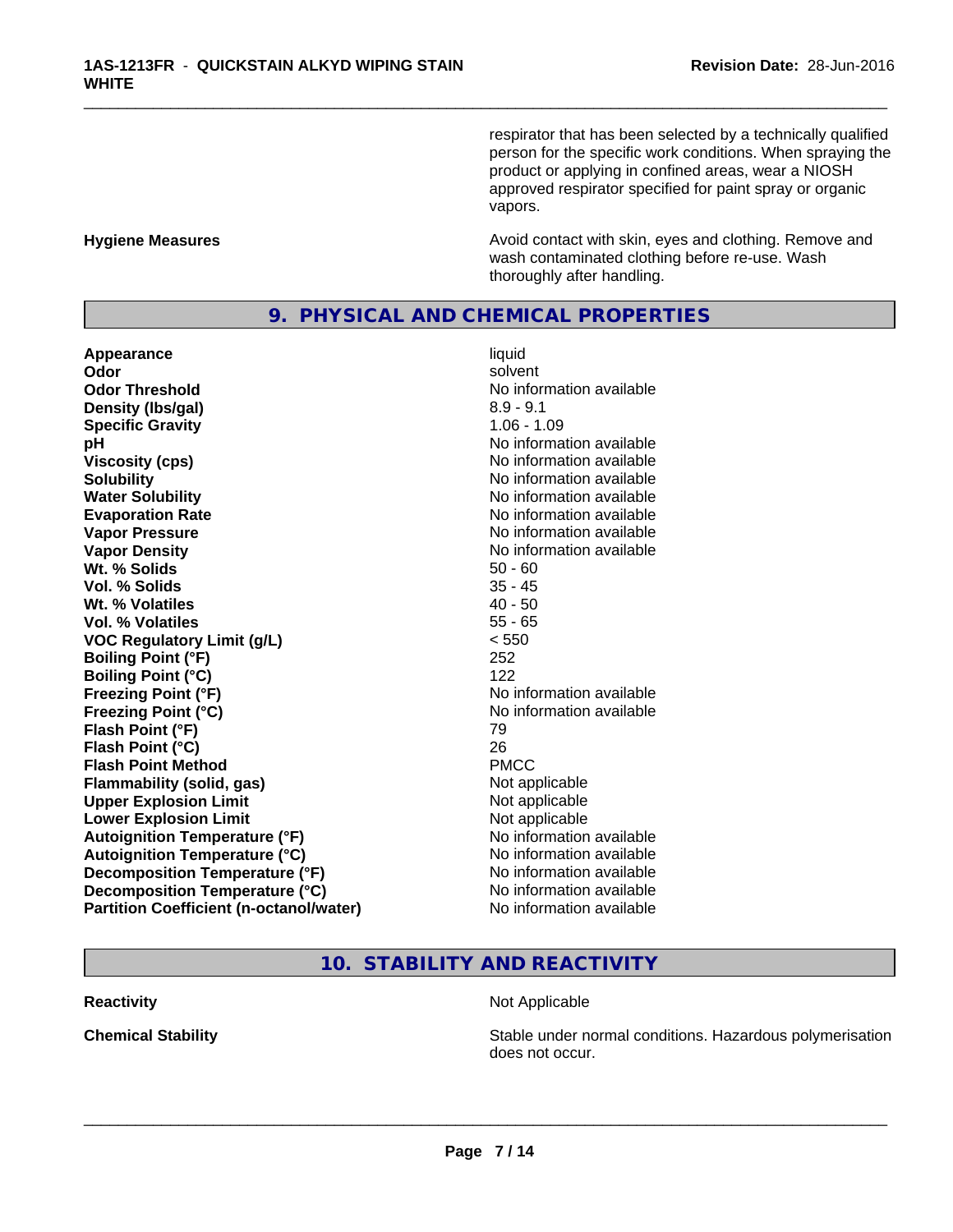respirator that has been selected by a technically qualified person for the specific work conditions. When spraying the product or applying in confined areas, wear a NIOSH approved respirator specified for paint spray or organic vapors.

#### **Hygiene Measures Avoid contact with skin, eyes and clothing. Remove and Avoid contact with skin, eyes and clothing. Remove and** wash contaminated clothing before re-use. Wash thoroughly after handling.

# **9. PHYSICAL AND CHEMICAL PROPERTIES**

**Appearance** liquid **Odor** solvent **Odor Threshold No information available No information available Density (lbs/gal)** 8.9 - 9.1 **Specific Gravity** 1.06 - 1.09 **pH** No information available **Viscosity (cps)** No information available<br> **Solubility** No information available<br>
No information available **Water Solubility Water Solubility No information available Evaporation Rate No information available No information available Vapor Pressure** No information available **Vapor Density No information available No information available Wt.** % Solids 60 **Vol. % Solids** 35 - 45 **Wt.** % Volatiles 40 - 50 **Vol. % Volatiles** 55 - 65 **VOC Regulatory Limit (g/L)** < 550 **Boiling Point (°F)** 252 **Boiling Point (°C)** 122<br>**Freezing Point (°F)** No i **Freezing Point (°C)**<br> **Flash Point (°F)**<br> **Flash Point (°F)**<br> **Flash Point (°F) Flash Point (°F) Flash Point (°C)** 26 **Flash Point Method** PMCC **Flammability (solid, gas)** Not applicable **Upper Explosion Limit** Not applicable **Lower Explosion Limit** Not applicable **Autoignition Temperature (°F)** No information available **Autoignition Temperature (°C)** No information available **Decomposition Temperature (°F)** No information available **Decomposition Temperature (°C)** No information available **Partition Coefficient (n-octanol/water)** No information available

**No information available Freezing Point (°F)** No information available

\_\_\_\_\_\_\_\_\_\_\_\_\_\_\_\_\_\_\_\_\_\_\_\_\_\_\_\_\_\_\_\_\_\_\_\_\_\_\_\_\_\_\_\_\_\_\_\_\_\_\_\_\_\_\_\_\_\_\_\_\_\_\_\_\_\_\_\_\_\_\_\_\_\_\_\_\_\_\_\_\_\_\_\_\_\_\_\_\_\_\_\_\_

**10. STABILITY AND REACTIVITY**

**Reactivity Not Applicable Not Applicable** 

 $\overline{\phantom{a}}$  ,  $\overline{\phantom{a}}$  ,  $\overline{\phantom{a}}$  ,  $\overline{\phantom{a}}$  ,  $\overline{\phantom{a}}$  ,  $\overline{\phantom{a}}$  ,  $\overline{\phantom{a}}$  ,  $\overline{\phantom{a}}$  ,  $\overline{\phantom{a}}$  ,  $\overline{\phantom{a}}$  ,  $\overline{\phantom{a}}$  ,  $\overline{\phantom{a}}$  ,  $\overline{\phantom{a}}$  ,  $\overline{\phantom{a}}$  ,  $\overline{\phantom{a}}$  ,  $\overline{\phantom{a}}$ 

**Chemical Stability Stability** Stable under normal conditions. Hazardous polymerisation does not occur.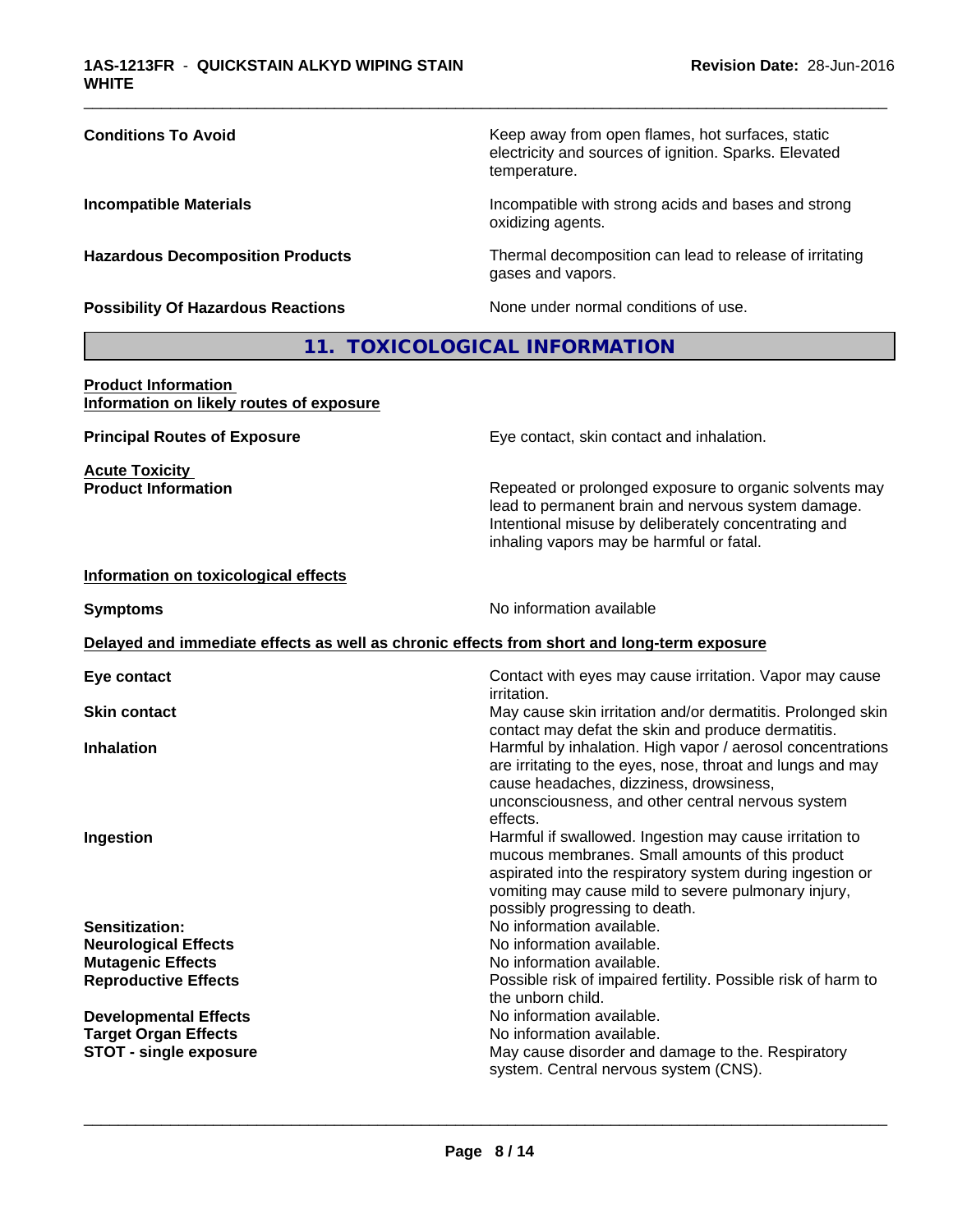| <b>Conditions To Avoid</b>                                             | Keep away from open flames, hot surfaces, static<br>electricity and sources of ignition. Sparks. Elevated<br>temperature.                                                                                        |  |
|------------------------------------------------------------------------|------------------------------------------------------------------------------------------------------------------------------------------------------------------------------------------------------------------|--|
| <b>Incompatible Materials</b>                                          | Incompatible with strong acids and bases and strong<br>oxidizing agents.                                                                                                                                         |  |
| <b>Hazardous Decomposition Products</b>                                | Thermal decomposition can lead to release of irritating<br>gases and vapors.                                                                                                                                     |  |
| <b>Possibility Of Hazardous Reactions</b>                              | None under normal conditions of use.                                                                                                                                                                             |  |
|                                                                        | 11. TOXICOLOGICAL INFORMATION                                                                                                                                                                                    |  |
| <b>Product Information</b><br>Information on likely routes of exposure |                                                                                                                                                                                                                  |  |
| <b>Principal Routes of Exposure</b>                                    | Eye contact, skin contact and inhalation.                                                                                                                                                                        |  |
| <b>Acute Toxicity</b><br><b>Product Information</b>                    | Repeated or prolonged exposure to organic solvents may<br>lead to permanent brain and nervous system damage.<br>Intentional misuse by deliberately concentrating and<br>inhaling vapors may be harmful or fatal. |  |
| Information on toxicological effects                                   |                                                                                                                                                                                                                  |  |
| <b>Symptoms</b>                                                        | No information available                                                                                                                                                                                         |  |
|                                                                        | Delayed and immediate effects as well as chronic effects from short and long-term exposure                                                                                                                       |  |
| Eye contact                                                            | Contact with eyes may cause irritation. Vapor may cause<br>irritation.                                                                                                                                           |  |
| <b>Skin contact</b>                                                    | May cause skin irritation and/or dermatitis. Prolonged skin<br>contact may defat the skin and produce dermatitis.                                                                                                |  |

**Inhalation Inhalation Harmful by inhalation. High vapor / aerosol concentrations** 

**Ingestion Ingestion Ingestion Example 2 Harmful if swallowed. Ingestion may cause irritation to** 

**Sensitization:**<br> **No** information available.<br> **No** information available.<br>
No information available. **Neurological Effects**<br> **No information available.**<br> **No information available**<br>
No information available **Mutagenic Effects Reproductive Effects Possible risk of impaired fertility. Possible risk of harm to** 

**Developmental Effects No information available. Target Organ Effects**<br> **STOT - single exposure**<br> **STOT - single exposure**<br> **Nay cause disorder and (** 

 $\overline{\phantom{a}}$  ,  $\overline{\phantom{a}}$  ,  $\overline{\phantom{a}}$  ,  $\overline{\phantom{a}}$  ,  $\overline{\phantom{a}}$  ,  $\overline{\phantom{a}}$  ,  $\overline{\phantom{a}}$  ,  $\overline{\phantom{a}}$  ,  $\overline{\phantom{a}}$  ,  $\overline{\phantom{a}}$  ,  $\overline{\phantom{a}}$  ,  $\overline{\phantom{a}}$  ,  $\overline{\phantom{a}}$  ,  $\overline{\phantom{a}}$  ,  $\overline{\phantom{a}}$  ,  $\overline{\phantom{a}}$ 

the unborn child.

effects.

are irritating to the eyes, nose, throat and lungs and may

unconsciousness, and other central nervous system

mucous membranes. Small amounts of this product aspirated into the respiratory system during ingestion or vomiting may cause mild to severe pulmonary injury,

**STOT - single exposure** May cause disorder and damage to the. Respiratory

system. Central nervous system (CNS).

cause headaches, dizziness, drowsiness,

possibly progressing to death.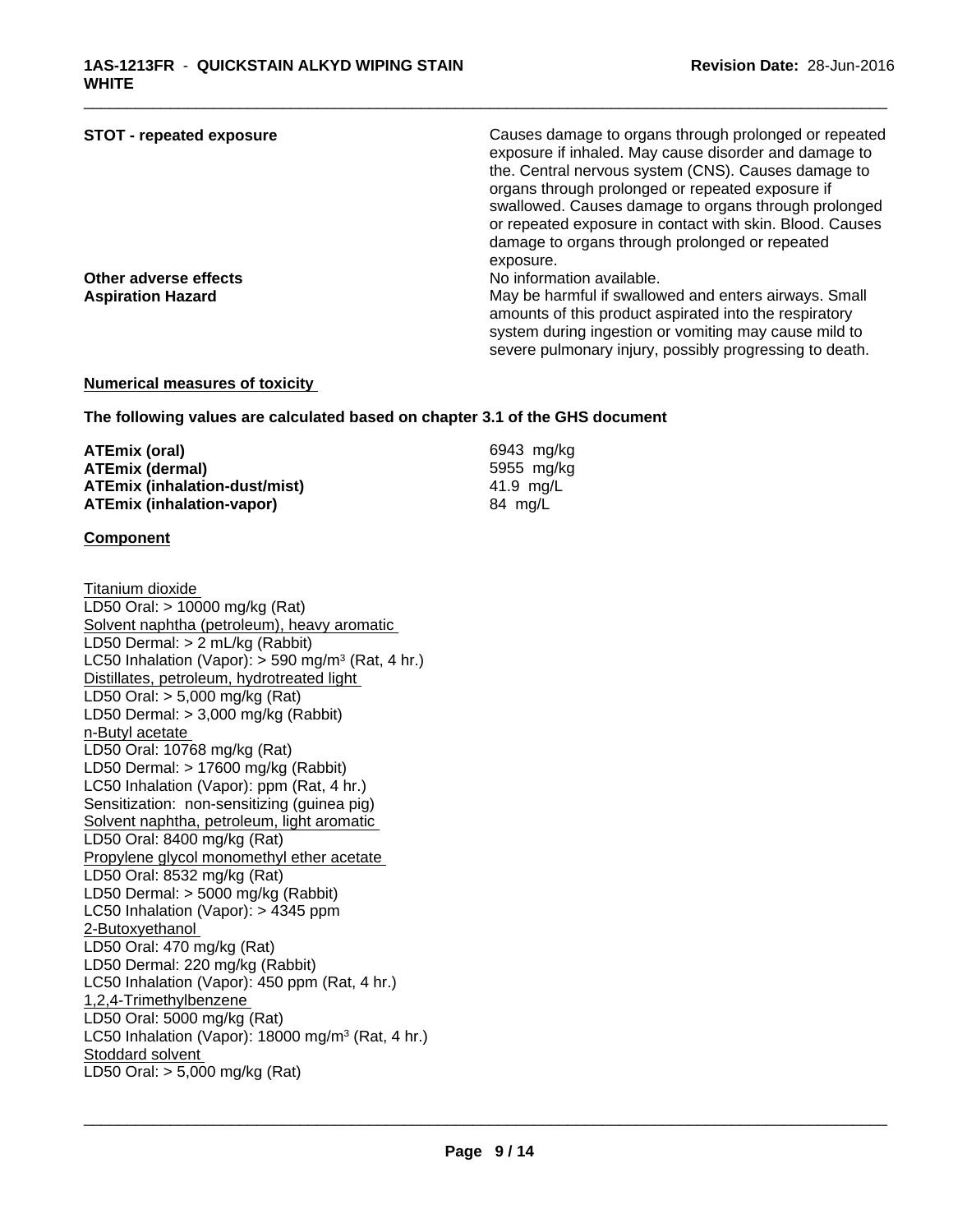| <b>STOT - repeated exposure</b>                   | Causes damage to organs through prolonged or repeated<br>exposure if inhaled. May cause disorder and damage to<br>the. Central nervous system (CNS). Causes damage to<br>organs through prolonged or repeated exposure if<br>swallowed. Causes damage to organs through prolonged<br>or repeated exposure in contact with skin. Blood. Causes<br>damage to organs through prolonged or repeated<br>exposure. |
|---------------------------------------------------|--------------------------------------------------------------------------------------------------------------------------------------------------------------------------------------------------------------------------------------------------------------------------------------------------------------------------------------------------------------------------------------------------------------|
| Other adverse effects<br><b>Aspiration Hazard</b> | No information available.<br>May be harmful if swallowed and enters airways. Small<br>amounts of this product aspirated into the respiratory<br>system during ingestion or vomiting may cause mild to<br>severe pulmonary injury, possibly progressing to death.                                                                                                                                             |

\_\_\_\_\_\_\_\_\_\_\_\_\_\_\_\_\_\_\_\_\_\_\_\_\_\_\_\_\_\_\_\_\_\_\_\_\_\_\_\_\_\_\_\_\_\_\_\_\_\_\_\_\_\_\_\_\_\_\_\_\_\_\_\_\_\_\_\_\_\_\_\_\_\_\_\_\_\_\_\_\_\_\_\_\_\_\_\_\_\_\_\_\_

# **Numerical measures of toxicity**

**The following values are calculated based on chapter 3.1 of the GHS document**

| ATEmix (oral)                        | 6943 mg/kg |
|--------------------------------------|------------|
| <b>ATEmix (dermal)</b>               | 5955 mg/kg |
| <b>ATEmix (inhalation-dust/mist)</b> | 41.9 ma/L  |
| <b>ATEmix (inhalation-vapor)</b>     | 84 mg/L    |

# **Component**

| Titanium dioxide                                                |
|-----------------------------------------------------------------|
| LD50 Oral: > 10000 mg/kg (Rat)                                  |
| Solvent naphtha (petroleum), heavy aromatic                     |
| LD50 Dermal: $> 2$ mL/kg (Rabbit)                               |
| LC50 Inhalation (Vapor): $>$ 590 mg/m <sup>3</sup> (Rat, 4 hr.) |
| Distillates, petroleum, hydrotreated light                      |
| LD50 Oral: $> 5,000$ mg/kg (Rat)                                |
| LD50 Dermal: > 3,000 mg/kg (Rabbit)                             |
| n-Butyl acetate                                                 |
| LD50 Oral: 10768 mg/kg (Rat)                                    |
| LD50 Dermal: > 17600 mg/kg (Rabbit)                             |
| LC50 Inhalation (Vapor): ppm (Rat, 4 hr.)                       |
| Sensitization: non-sensitizing (guinea pig)                     |
| Solvent naphtha, petroleum, light aromatic                      |
| LD50 Oral: 8400 mg/kg (Rat)                                     |
| Propylene glycol monomethyl ether acetate                       |
| LD50 Oral: 8532 mg/kg (Rat)                                     |
| LD50 Dermal: > 5000 mg/kg (Rabbit)                              |
| LC50 Inhalation (Vapor): $> 4345$ ppm                           |
| 2-Butoxyethanol                                                 |
| LD50 Oral: 470 mg/kg (Rat)                                      |
| LD50 Dermal: 220 mg/kg (Rabbit)                                 |
| LC50 Inhalation (Vapor): 450 ppm (Rat, 4 hr.)                   |
| 1,2,4-Trimethylbenzene                                          |
| LD50 Oral: 5000 mg/kg (Rat)                                     |
| LC50 Inhalation (Vapor): $18000$ mg/m <sup>3</sup> (Rat, 4 hr.) |
| Stoddard solvent                                                |
| LD50 Oral: $> 5,000$ mg/kg (Rat)                                |
|                                                                 |
|                                                                 |
|                                                                 |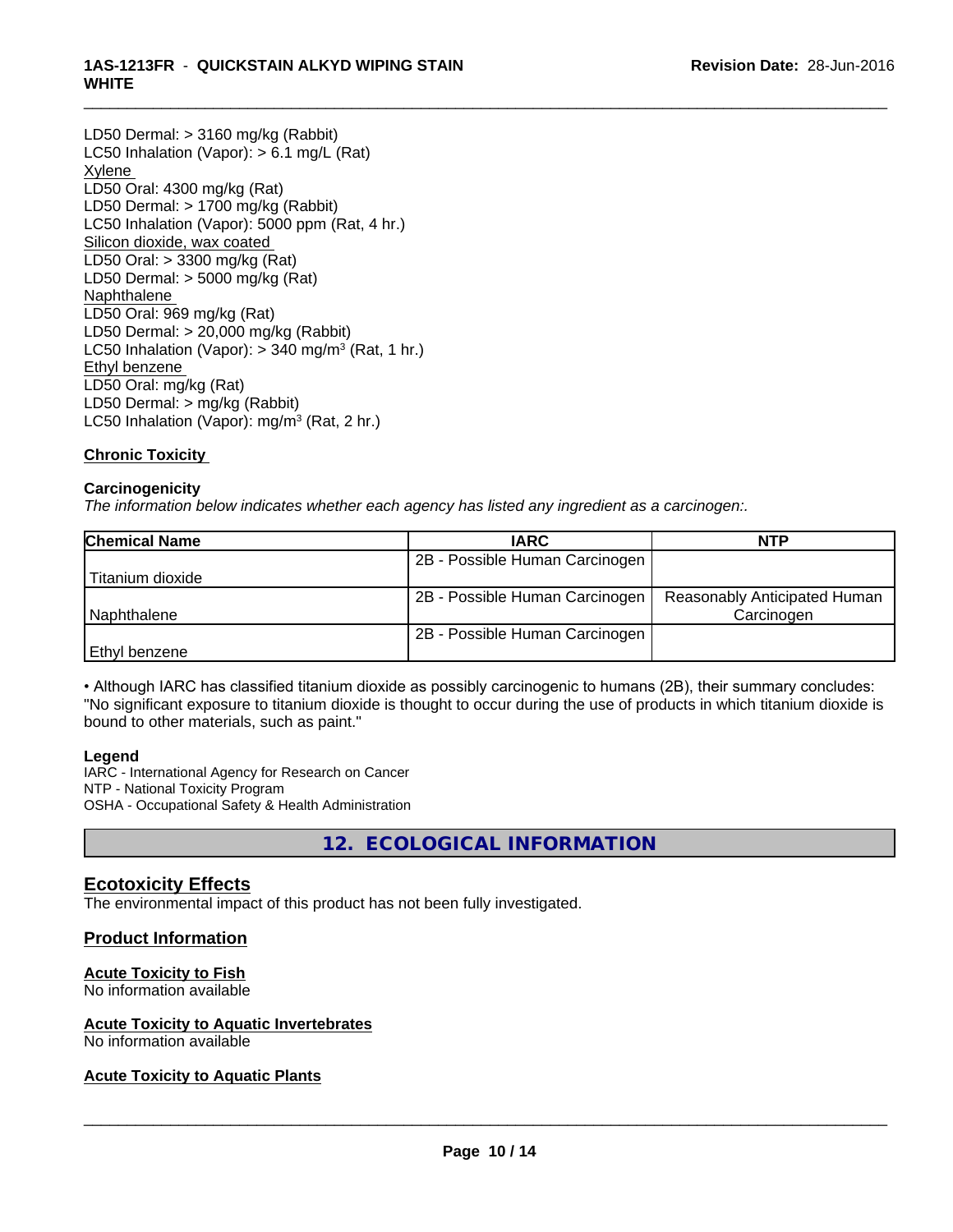# **1AS-1213FR** - **QUICKSTAIN ALKYD WIPING STAIN WHITE**

LD50 Dermal: > 3160 mg/kg (Rabbit) LC50 Inhalation (Vapor): > 6.1 mg/L (Rat) Xylene LD50 Oral: 4300 mg/kg (Rat) LD50 Dermal: > 1700 mg/kg (Rabbit) LC50 Inhalation (Vapor): 5000 ppm (Rat, 4 hr.) Silicon dioxide, wax coated LD50 Oral: > 3300 mg/kg (Rat) LD50 Dermal: > 5000 mg/kg (Rat) Naphthalene LD50 Oral: 969 mg/kg (Rat) LD50 Dermal: > 20,000 mg/kg (Rabbit) LC50 Inhalation (Vapor): > 340 mg/m<sup>3</sup> (Rat, 1 hr.) Ethyl benzene LD50 Oral: mg/kg (Rat) LD50 Dermal: > mg/kg (Rabbit) LC50 Inhalation (Vapor): mg/m<sup>3</sup> (Rat, 2 hr.)

# **Chronic Toxicity**

# **Carcinogenicity**

*The information below indicateswhether each agency has listed any ingredient as a carcinogen:.*

| <b>Chemical Name</b> | <b>IARC</b>                    | <b>NTP</b>                   |
|----------------------|--------------------------------|------------------------------|
|                      | 2B - Possible Human Carcinogen |                              |
| Titanium dioxide     |                                |                              |
|                      | 2B - Possible Human Carcinogen | Reasonably Anticipated Human |
| Naphthalene          |                                | Carcinogen                   |
|                      | 2B - Possible Human Carcinogen |                              |
| l Ethvl benzene      |                                |                              |

\_\_\_\_\_\_\_\_\_\_\_\_\_\_\_\_\_\_\_\_\_\_\_\_\_\_\_\_\_\_\_\_\_\_\_\_\_\_\_\_\_\_\_\_\_\_\_\_\_\_\_\_\_\_\_\_\_\_\_\_\_\_\_\_\_\_\_\_\_\_\_\_\_\_\_\_\_\_\_\_\_\_\_\_\_\_\_\_\_\_\_\_\_

• Although IARC has classified titanium dioxide as possibly carcinogenic to humans (2B), their summary concludes: "No significant exposure to titanium dioxide is thought to occur during the use of products in which titanium dioxide is bound to other materials, such as paint."

# **Legend**

IARC - International Agency for Research on Cancer NTP - National Toxicity Program OSHA - Occupational Safety & Health Administration

**12. ECOLOGICAL INFORMATION**

# **Ecotoxicity Effects**

The environmental impact of this product has not been fully investigated.

# **Product Information**

# **Acute Toxicity to Fish**

No information available

# **Acute Toxicity to Aquatic Invertebrates**

No information available

# **Acute Toxicity to Aquatic Plants**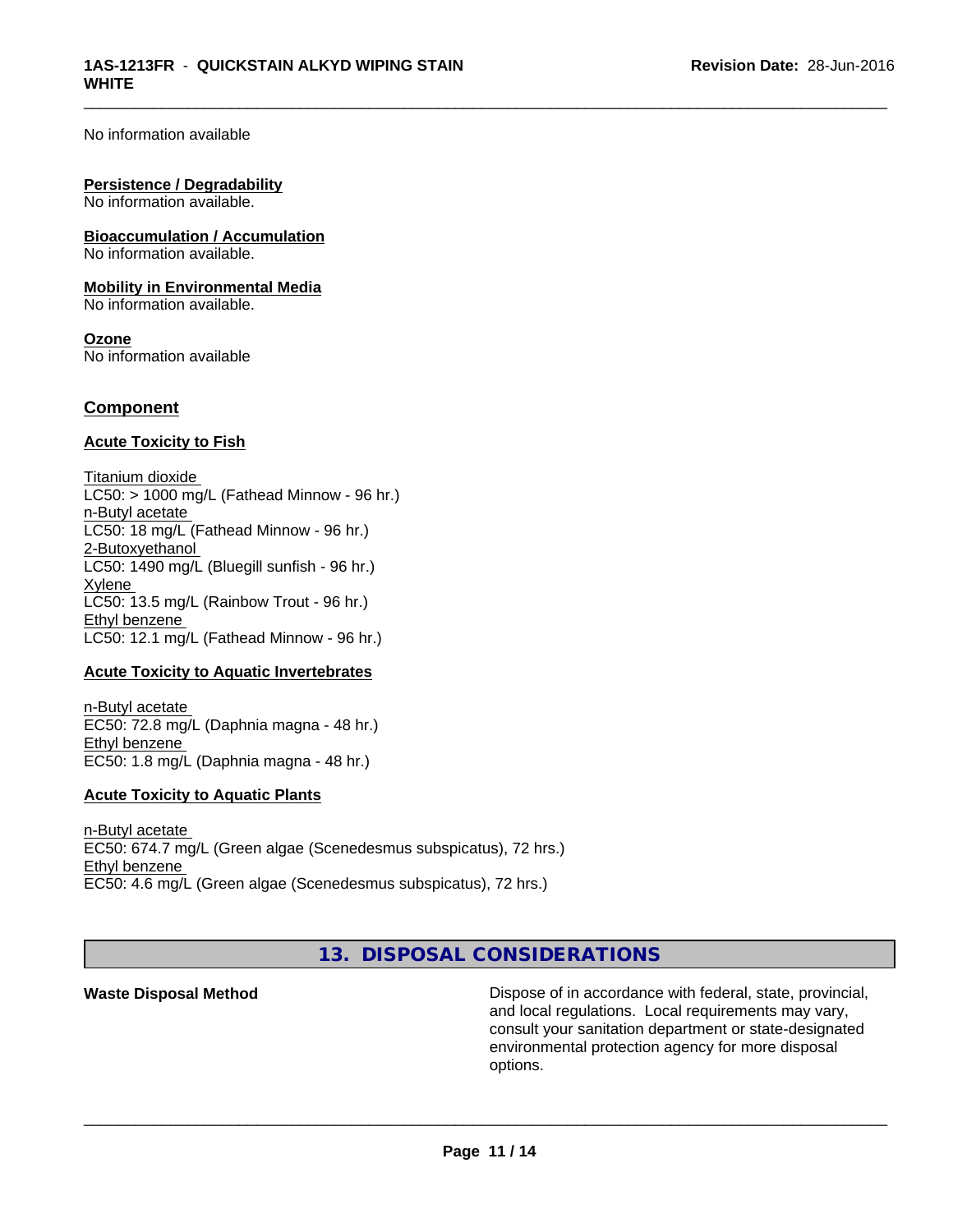\_\_\_\_\_\_\_\_\_\_\_\_\_\_\_\_\_\_\_\_\_\_\_\_\_\_\_\_\_\_\_\_\_\_\_\_\_\_\_\_\_\_\_\_\_\_\_\_\_\_\_\_\_\_\_\_\_\_\_\_\_\_\_\_\_\_\_\_\_\_\_\_\_\_\_\_\_\_\_\_\_\_\_\_\_\_\_\_\_\_\_\_\_

No information available

#### **Persistence / Degradability**

No information available.

#### **Bioaccumulation / Accumulation**

No information available.

### **Mobility in Environmental Media**

No information available.

#### **Ozone**

No information available

# **Component**

# **Acute Toxicity to Fish**

Titanium dioxide  $LC50:$  > 1000 mg/L (Fathead Minnow - 96 hr.) n-Butyl acetate LC50: 18 mg/L (Fathead Minnow - 96 hr.) 2-Butoxyethanol LC50: 1490 mg/L (Bluegill sunfish - 96 hr.) Xylene LC50: 13.5 mg/L (Rainbow Trout - 96 hr.) Ethyl benzene LC50: 12.1 mg/L (Fathead Minnow - 96 hr.)

# **Acute Toxicity to Aquatic Invertebrates**

n-Butyl acetate EC50: 72.8 mg/L (Daphnia magna - 48 hr.) Ethyl benzene EC50: 1.8 mg/L (Daphnia magna - 48 hr.)

# **Acute Toxicity to Aquatic Plants**

n-Butyl acetate EC50: 674.7 mg/L (Green algae (Scenedesmus subspicatus), 72 hrs.) Ethyl benzene EC50: 4.6 mg/L (Green algae (Scenedesmus subspicatus), 72 hrs.)

**13. DISPOSAL CONSIDERATIONS**

**Waste Disposal Method Dispose of in accordance with federal, state, provincial,** and local regulations. Local requirements may vary, consult your sanitation department or state-designated environmental protection agency for more disposal options.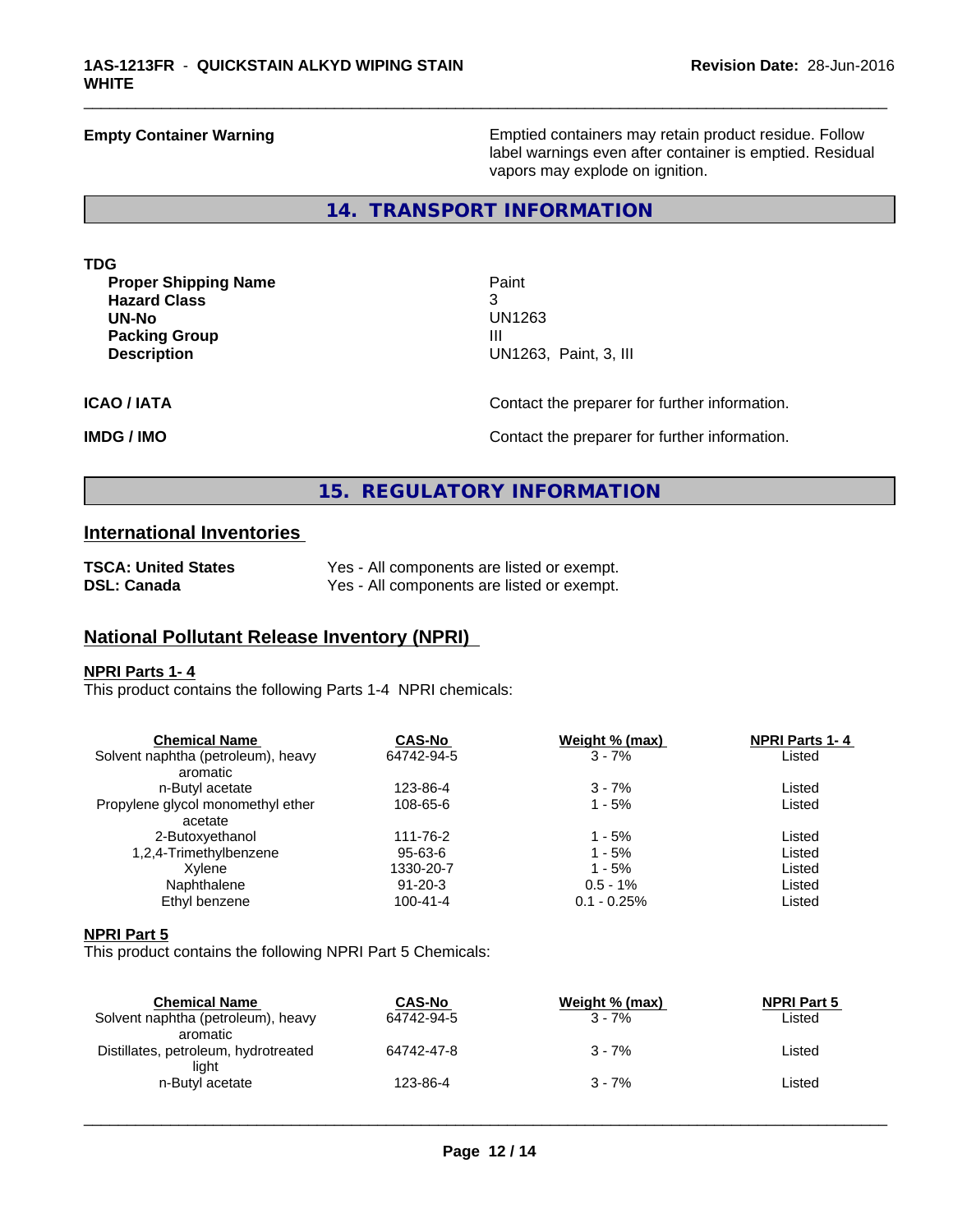**Empty Container Warning <b>Emptied** Containers may retain product residue. Follow label warnings even after container is emptied. Residual vapors may explode on ignition.

**14. TRANSPORT INFORMATION**

| TDG                         |                       |
|-----------------------------|-----------------------|
| <b>Proper Shipping Name</b> | Paint                 |
| <b>Hazard Class</b>         | ີ                     |
| UN-No                       | UN1263                |
| <b>Packing Group</b>        | Ш                     |
| <b>Description</b>          | UN1263, Paint, 3, III |

\_\_\_\_\_\_\_\_\_\_\_\_\_\_\_\_\_\_\_\_\_\_\_\_\_\_\_\_\_\_\_\_\_\_\_\_\_\_\_\_\_\_\_\_\_\_\_\_\_\_\_\_\_\_\_\_\_\_\_\_\_\_\_\_\_\_\_\_\_\_\_\_\_\_\_\_\_\_\_\_\_\_\_\_\_\_\_\_\_\_\_\_\_

**ICAO / IATA** Contact the preparer for further information.

**IMDG / IMO Contact the preparer for further information.** 

# **15. REGULATORY INFORMATION**

# **International Inventories**

| <b>TSCA: United States</b> | Yes - All components are listed or exempt. |
|----------------------------|--------------------------------------------|
| <b>DSL: Canada</b>         | Yes - All components are listed or exempt. |

# **National Pollutant Release Inventory (NPRI)**

# **NPRI Parts 1- 4**

This product contains the following Parts 1-4 NPRI chemicals:

| <b>Chemical Name</b>               | <b>CAS-No</b>  | Weight % (max) | <b>NPRI Parts 1-4</b> |  |
|------------------------------------|----------------|----------------|-----------------------|--|
| Solvent naphtha (petroleum), heavy | 64742-94-5     | $3 - 7%$       | Listed                |  |
| aromatic                           |                |                |                       |  |
| n-Butyl acetate                    | 123-86-4       | $3 - 7%$       | Listed                |  |
| Propylene glycol monomethyl ether  | 108-65-6       | $1 - 5%$       | Listed                |  |
| acetate                            |                |                |                       |  |
| 2-Butoxyethanol                    | 111-76-2       | $1 - 5%$       | Listed                |  |
| 1,2,4-Trimethylbenzene             | 95-63-6        | $1 - 5%$       | Listed                |  |
| Xvlene                             | 1330-20-7      | $1 - 5%$       | Listed                |  |
| Naphthalene                        | $91 - 20 - 3$  | $0.5 - 1\%$    | Listed                |  |
| Ethyl benzene                      | $100 - 41 - 4$ | $0.1 - 0.25%$  | Listed                |  |
|                                    |                |                |                       |  |

# **NPRI Part 5**

This product contains the following NPRI Part 5 Chemicals:

| <b>Chemical Name</b><br>Solvent naphtha (petroleum), heavy | <b>CAS-No</b><br>64742-94-5 | Weight % (max)<br>$3 - 7%$ | <b>NPRI Part 5</b><br>Listed |  |
|------------------------------------------------------------|-----------------------------|----------------------------|------------------------------|--|
| aromatic<br>Distillates, petroleum, hydrotreated<br>light  | 64742-47-8                  | $3 - 7%$                   | Listed                       |  |
| n-Butyl acetate                                            | 123-86-4                    | $3 - 7%$                   | Listed                       |  |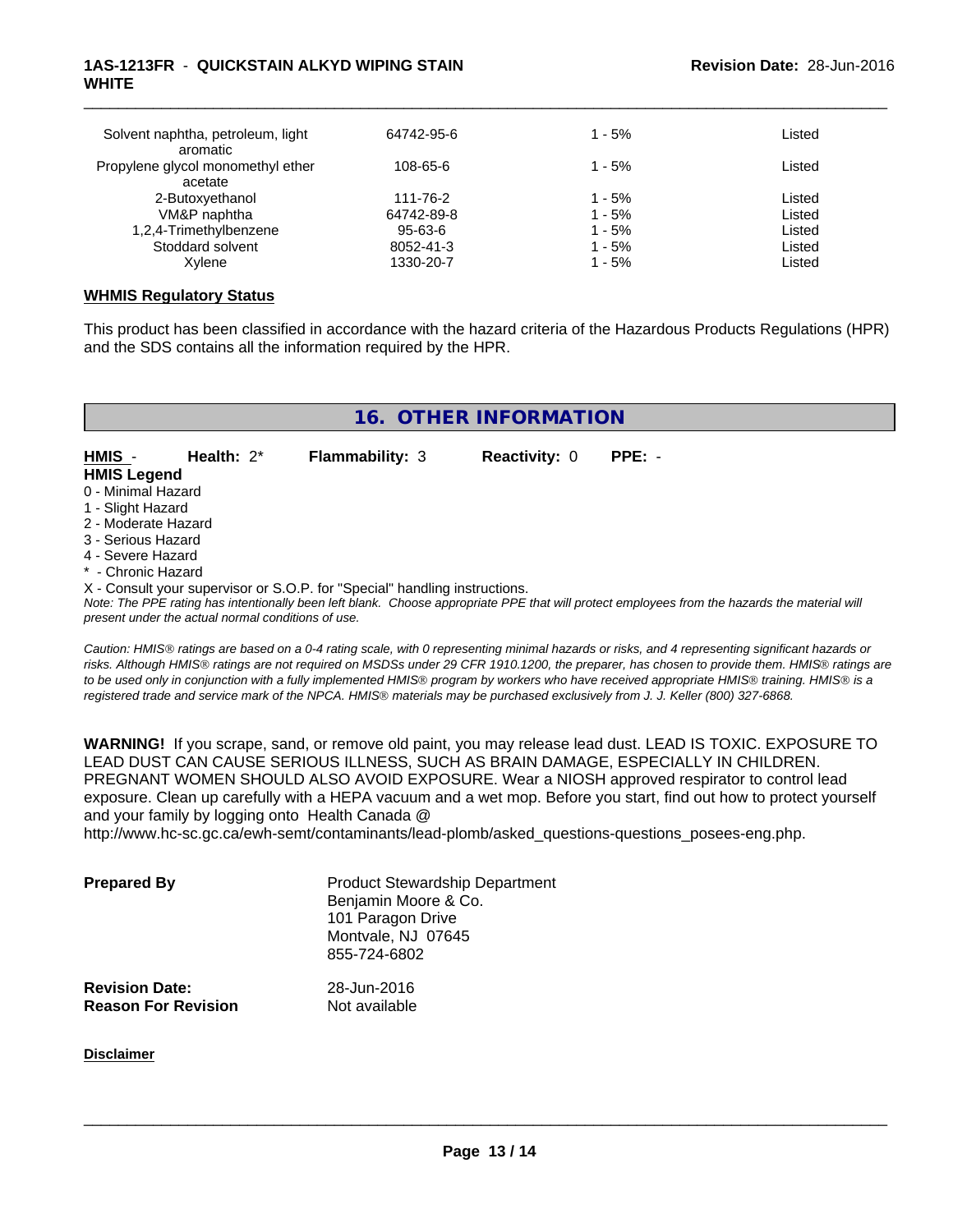# **1AS-1213FR** - **QUICKSTAIN ALKYD WIPING STAIN WHITE**

| Solvent naphtha, petroleum, light<br>aromatic | 64742-95-6 | $1 - 5%$ | Listed |  |
|-----------------------------------------------|------------|----------|--------|--|
| Propylene glycol monomethyl ether<br>acetate  | 108-65-6   | $1 - 5%$ | Listed |  |
| 2-Butoxyethanol                               | 111-76-2   | $1 - 5%$ | Listed |  |
| VM&P naphtha                                  | 64742-89-8 | 1 - 5%   | Listed |  |
| 1,2,4-Trimethylbenzene                        | 95-63-6    | $1 - 5%$ | Listed |  |
| Stoddard solvent                              | 8052-41-3  | $1 - 5%$ | Listed |  |
| Xvlene                                        | 1330-20-7  | 1 - 5%   | Listed |  |

\_\_\_\_\_\_\_\_\_\_\_\_\_\_\_\_\_\_\_\_\_\_\_\_\_\_\_\_\_\_\_\_\_\_\_\_\_\_\_\_\_\_\_\_\_\_\_\_\_\_\_\_\_\_\_\_\_\_\_\_\_\_\_\_\_\_\_\_\_\_\_\_\_\_\_\_\_\_\_\_\_\_\_\_\_\_\_\_\_\_\_\_\_

#### **WHMIS Regulatory Status**

This product has been classified in accordance with the hazard criteria of the Hazardous Products Regulations (HPR) and the SDS contains all the information required by the HPR.

# **16. OTHER INFORMATION**

**HMIS** - **Health:** 2\* **Flammability:** 3 **Reactivity:** 0 **PPE:** - **HMIS Legend**

0 - Minimal Hazard

1 - Slight Hazard

2 - Moderate Hazard

3 - Serious Hazard

4 - Severe Hazard

\* - Chronic Hazard

X - Consult your supervisor or S.O.P. for "Special" handling instructions.

*Note: The PPE rating has intentionally been left blank. Choose appropriate PPE that will protect employees from the hazards the material will present under the actual normal conditions of use.*

*Caution: HMISÒ ratings are based on a 0-4 rating scale, with 0 representing minimal hazards or risks, and 4 representing significant hazards or risks. Although HMISÒ ratings are not required on MSDSs under 29 CFR 1910.1200, the preparer, has chosen to provide them. HMISÒ ratings are to be used only in conjunction with a fully implemented HMISÒ program by workers who have received appropriate HMISÒ training. HMISÒ is a registered trade and service mark of the NPCA. HMISÒ materials may be purchased exclusively from J. J. Keller (800) 327-6868.*

**WARNING!** If you scrape, sand, or remove old paint, you may release lead dust. LEAD IS TOXIC. EXPOSURE TO LEAD DUST CAN CAUSE SERIOUS ILLNESS, SUCH AS BRAIN DAMAGE, ESPECIALLY IN CHILDREN. PREGNANT WOMEN SHOULD ALSO AVOID EXPOSURE.Wear a NIOSH approved respirator to control lead exposure. Clean up carefully with a HEPA vacuum and a wet mop. Before you start, find out how to protect yourself and your family by logging onto Health Canada @

http://www.hc-sc.gc.ca/ewh-semt/contaminants/lead-plomb/asked\_questions-questions\_posees-eng.php.

| <b>Prepared By</b>         | <b>Product Stewardship Department</b><br>Benjamin Moore & Co.<br>101 Paragon Drive<br>Montvale, NJ 07645<br>855-724-6802 |
|----------------------------|--------------------------------------------------------------------------------------------------------------------------|
| <b>Revision Date:</b>      | 28-Jun-2016                                                                                                              |
| <b>Reason For Revision</b> | Not available                                                                                                            |

**Disclaimer**